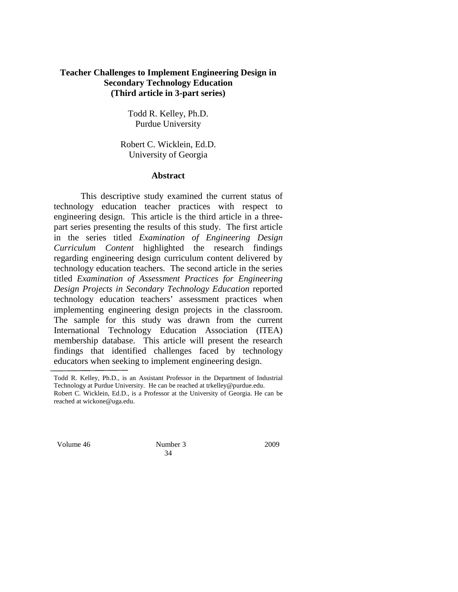## **Teacher Challenges to Implement Engineering Design in Secondary Technology Education (Third article in 3-part series)**

Todd R. Kelley, Ph.D. Purdue University

Robert C. Wicklein, Ed.D. University of Georgia

### **Abstract**

This descriptive study examined the current status of technology education teacher practices with respect to engineering design. This article is the third article in a threepart series presenting the results of this study. The first article in the series titled *Examination of Engineering Design Curriculum Content* highlighted the research findings regarding engineering design curriculum content delivered by technology education teachers. The second article in the series titled *Examination of Assessment Practices for Engineering Design Projects in Secondary Technology Education* reported technology education teachers' assessment practices when implementing engineering design projects in the classroom. The sample for this study was drawn from the current International Technology Education Association (ITEA) membership database. This article will present the research findings that identified challenges faced by technology educators when seeking to implement engineering design.

Volume 46 Number 3 2009

34

Todd R. Kelley, Ph.D., is an Assistant Professor in the Department of Industrial Technology at Purdue University. He can be reached at trkelley@purdue.edu.

Robert C. Wicklein, Ed.D., is a Professor at the University of Georgia. He can be reached at wickone@uga.edu.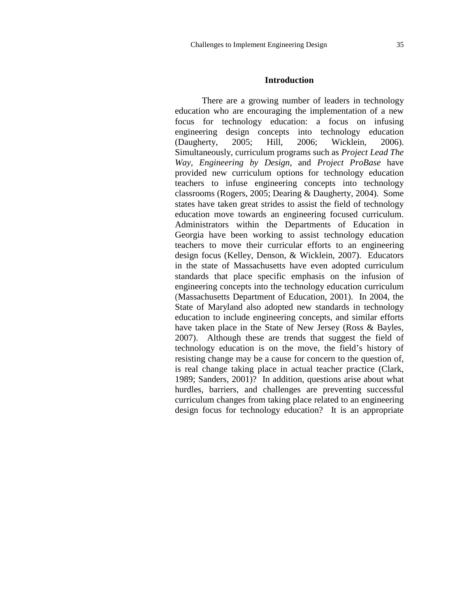### **Introduction**

There are a growing number of leaders in technology education who are encouraging the implementation of a new focus for technology education: a focus on infusing engineering design concepts into technology education (Daugherty, 2005; Hill, 2006; Wicklein, 2006). Simultaneously, curriculum programs such as *Project Lead The Way*, *Engineering by Design*, and *Project ProBase* have provided new curriculum options for technology education teachers to infuse engineering concepts into technology classrooms (Rogers, 2005; Dearing & Daugherty, 2004). Some states have taken great strides to assist the field of technology education move towards an engineering focused curriculum. Administrators within the Departments of Education in Georgia have been working to assist technology education teachers to move their curricular efforts to an engineering design focus (Kelley, Denson, & Wicklein, 2007). Educators in the state of Massachusetts have even adopted curriculum standards that place specific emphasis on the infusion of engineering concepts into the technology education curriculum (Massachusetts Department of Education, 2001). In 2004, the State of Maryland also adopted new standards in technology education to include engineering concepts, and similar efforts have taken place in the State of New Jersey (Ross & Bayles, 2007). Although these are trends that suggest the field of technology education is on the move, the field's history of resisting change may be a cause for concern to the question of, is real change taking place in actual teacher practice (Clark, 1989; Sanders, 2001)? In addition, questions arise about what hurdles, barriers, and challenges are preventing successful curriculum changes from taking place related to an engineering design focus for technology education? It is an appropriate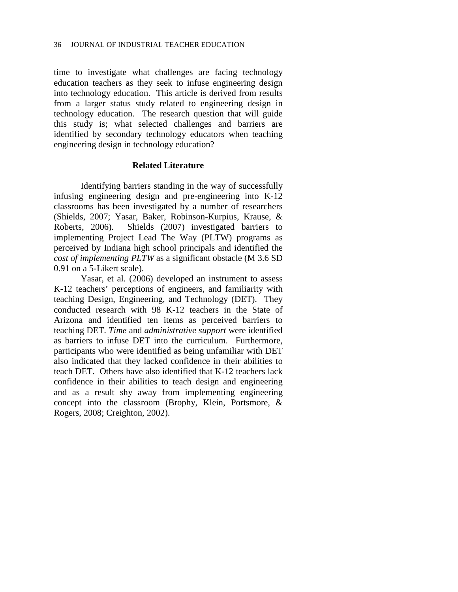time to investigate what challenges are facing technology education teachers as they seek to infuse engineering design into technology education. This article is derived from results from a larger status study related to engineering design in technology education. The research question that will guide this study is; what selected challenges and barriers are identified by secondary technology educators when teaching engineering design in technology education?

### **Related Literature**

Identifying barriers standing in the way of successfully infusing engineering design and pre-engineering into K-12 classrooms has been investigated by a number of researchers (Shields, 2007; Yasar, Baker, Robinson-Kurpius, Krause, & Roberts, 2006). Shields (2007) investigated barriers to implementing Project Lead The Way (PLTW) programs as perceived by Indiana high school principals and identified the *cost of implementing PLTW* as a significant obstacle (M 3.6 SD 0.91 on a 5-Likert scale).

Yasar, et al. (2006) developed an instrument to assess K-12 teachers' perceptions of engineers, and familiarity with teaching Design, Engineering, and Technology (DET). They conducted research with 98 K-12 teachers in the State of Arizona and identified ten items as perceived barriers to teaching DET. *Time* and *administrative support* were identified as barriers to infuse DET into the curriculum. Furthermore, participants who were identified as being unfamiliar with DET also indicated that they lacked confidence in their abilities to teach DET. Others have also identified that K-12 teachers lack confidence in their abilities to teach design and engineering and as a result shy away from implementing engineering concept into the classroom (Brophy, Klein, Portsmore, & Rogers, 2008; Creighton, 2002).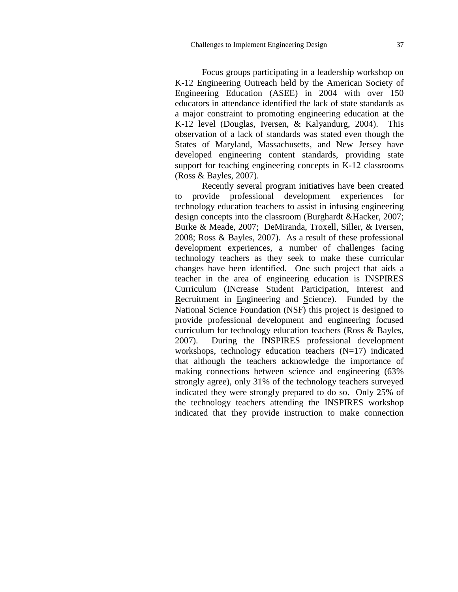Focus groups participating in a leadership workshop on K-12 Engineering Outreach held by the American Society of Engineering Education (ASEE) in 2004 with over 150 educators in attendance identified the lack of state standards as a major constraint to promoting engineering education at the K-12 level (Douglas, Iversen, & Kalyandurg, 2004). This observation of a lack of standards was stated even though the States of Maryland, Massachusetts, and New Jersey have developed engineering content standards, providing state support for teaching engineering concepts in K-12 classrooms (Ross & Bayles, 2007).

Recently several program initiatives have been created to provide professional development experiences for technology education teachers to assist in infusing engineering design concepts into the classroom (Burghardt &Hacker, 2007; Burke & Meade, 2007; DeMiranda, Troxell, Siller, & Iversen, 2008; Ross & Bayles, 2007). As a result of these professional development experiences, a number of challenges facing technology teachers as they seek to make these curricular changes have been identified. One such project that aids a teacher in the area of engineering education is INSPIRES Curriculum (INcrease Student Participation, Interest and Recruitment in Engineering and Science). Funded by the National Science Foundation (NSF) this project is designed to provide professional development and engineering focused curriculum for technology education teachers (Ross & Bayles, 2007). During the INSPIRES professional development workshops, technology education teachers (N=17) indicated that although the teachers acknowledge the importance of making connections between science and engineering (63% strongly agree), only 31% of the technology teachers surveyed indicated they were strongly prepared to do so. Only 25% of the technology teachers attending the INSPIRES workshop indicated that they provide instruction to make connection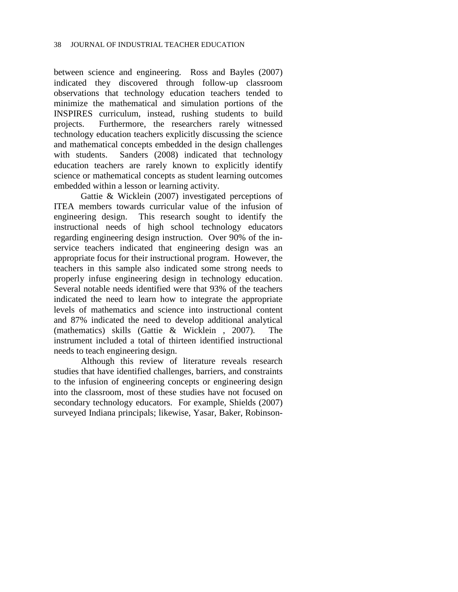between science and engineering. Ross and Bayles (2007) indicated they discovered through follow-up classroom observations that technology education teachers tended to minimize the mathematical and simulation portions of the INSPIRES curriculum, instead, rushing students to build projects. Furthermore, the researchers rarely witnessed technology education teachers explicitly discussing the science and mathematical concepts embedded in the design challenges with students. Sanders (2008) indicated that technology education teachers are rarely known to explicitly identify science or mathematical concepts as student learning outcomes embedded within a lesson or learning activity.

Gattie & Wicklein (2007) investigated perceptions of ITEA members towards curricular value of the infusion of engineering design. This research sought to identify the instructional needs of high school technology educators regarding engineering design instruction. Over 90% of the inservice teachers indicated that engineering design was an appropriate focus for their instructional program. However, the teachers in this sample also indicated some strong needs to properly infuse engineering design in technology education. Several notable needs identified were that 93% of the teachers indicated the need to learn how to integrate the appropriate levels of mathematics and science into instructional content and 87% indicated the need to develop additional analytical (mathematics) skills (Gattie & Wicklein , 2007). The instrument included a total of thirteen identified instructional needs to teach engineering design.

Although this review of literature reveals research studies that have identified challenges, barriers, and constraints to the infusion of engineering concepts or engineering design into the classroom, most of these studies have not focused on secondary technology educators. For example, Shields (2007) surveyed Indiana principals; likewise, Yasar, Baker, Robinson-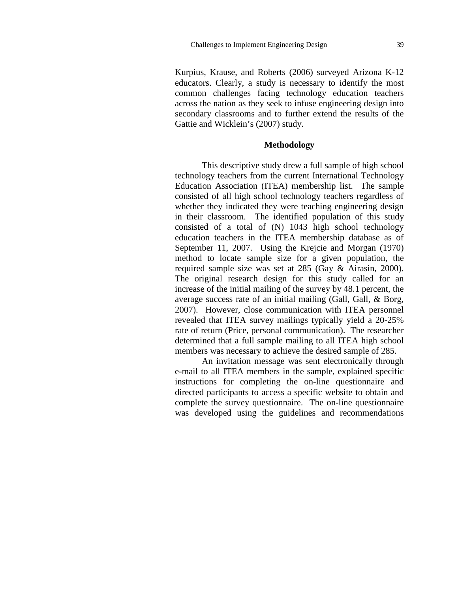Kurpius, Krause, and Roberts (2006) surveyed Arizona K-12 educators. Clearly, a study is necessary to identify the most common challenges facing technology education teachers across the nation as they seek to infuse engineering design into secondary classrooms and to further extend the results of the Gattie and Wicklein's (2007) study.

### **Methodology**

This descriptive study drew a full sample of high school technology teachers from the current International Technology Education Association (ITEA) membership list. The sample consisted of all high school technology teachers regardless of whether they indicated they were teaching engineering design in their classroom. The identified population of this study consisted of a total of (N) 1043 high school technology education teachers in the ITEA membership database as of September 11, 2007. Using the Krejcie and Morgan (1970) method to locate sample size for a given population, the required sample size was set at 285 (Gay & Airasin, 2000). The original research design for this study called for an increase of the initial mailing of the survey by 48.1 percent, the average success rate of an initial mailing (Gall, Gall, & Borg, 2007). However, close communication with ITEA personnel revealed that ITEA survey mailings typically yield a 20-25% rate of return (Price, personal communication). The researcher determined that a full sample mailing to all ITEA high school members was necessary to achieve the desired sample of 285.

An invitation message was sent electronically through e-mail to all ITEA members in the sample, explained specific instructions for completing the on-line questionnaire and directed participants to access a specific website to obtain and complete the survey questionnaire. The on-line questionnaire was developed using the guidelines and recommendations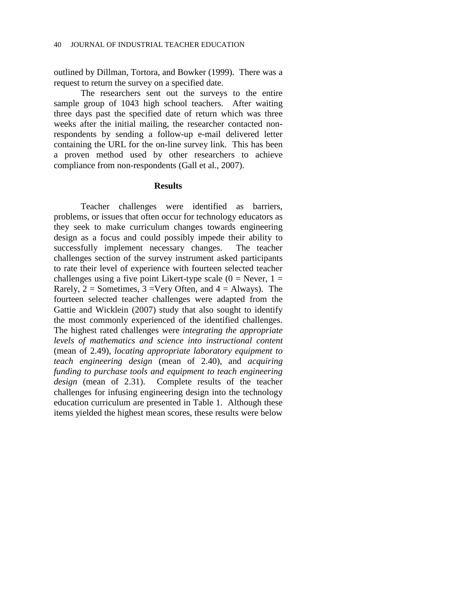outlined by Dillman, Tortora, and Bowker (1999). There was a request to return the survey on a specified date.

The researchers sent out the surveys to the entire sample group of 1043 high school teachers. After waiting three days past the specified date of return which was three weeks after the initial mailing, the researcher contacted nonrespondents by sending a follow-up e-mail delivered letter containing the URL for the on-line survey link. This has been a proven method used by other researchers to achieve compliance from non-respondents (Gall et al., 2007).

### **Results**

Teacher challenges were identified as barriers, problems, or issues that often occur for technology educators as they seek to make curriculum changes towards engineering design as a focus and could possibly impede their ability to successfully implement necessary changes. The teacher challenges section of the survey instrument asked participants to rate their level of experience with fourteen selected teacher challenges using a five point Likert-type scale  $(0 =$  Never,  $1 =$ Rarely,  $2 =$  Sometimes,  $3 =$ Very Often, and  $4 =$  Always). The fourteen selected teacher challenges were adapted from the Gattie and Wicklein (2007) study that also sought to identify the most commonly experienced of the identified challenges. The highest rated challenges were *integrating the appropriate levels of mathematics and science into instructional content* (mean of 2.49), *locating appropriate laboratory equipment to teach engineering design* (mean of 2.40), and *acquiring funding to purchase tools and equipment to teach engineering design* (mean of 2.31). Complete results of the teacher challenges for infusing engineering design into the technology education curriculum are presented in Table 1. Although these items yielded the highest mean scores, these results were below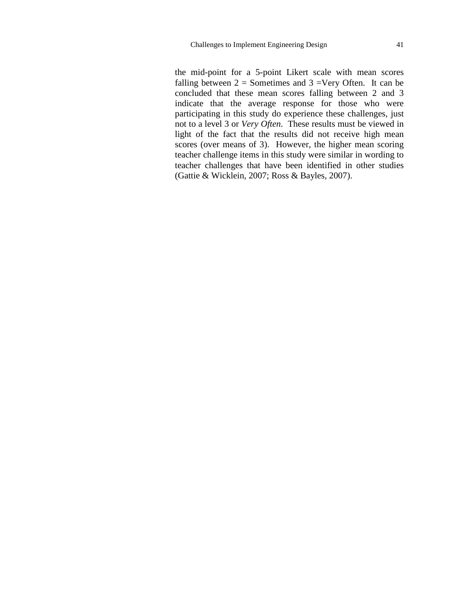the mid-point for a 5-point Likert scale with mean scores falling between  $2 =$  Sometimes and  $3 =$ Very Often. It can be concluded that these mean scores falling between 2 and 3 indicate that the average response for those who were participating in this study do experience these challenges, just not to a level 3 or *Very Often*. These results must be viewed in light of the fact that the results did not receive high mean scores (over means of 3). However, the higher mean scoring teacher challenge items in this study were similar in wording to teacher challenges that have been identified in other studies (Gattie & Wicklein, 2007; Ross & Bayles, 2007).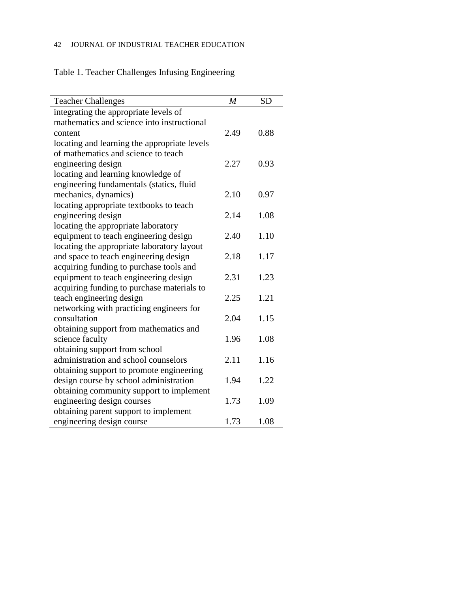# 42 JOURNAL OF INDUSTRIAL TEACHER EDUCATION

Table 1. Teacher Challenges Infusing Engineering

| <b>Teacher Challenges</b>                    | $\boldsymbol{M}$ | <b>SD</b> |
|----------------------------------------------|------------------|-----------|
| integrating the appropriate levels of        |                  |           |
| mathematics and science into instructional   |                  |           |
| content                                      | 2.49             | 0.88      |
| locating and learning the appropriate levels |                  |           |
| of mathematics and science to teach          |                  |           |
| engineering design                           | 2.27             | 0.93      |
| locating and learning knowledge of           |                  |           |
| engineering fundamentals (statics, fluid     |                  |           |
| mechanics, dynamics)                         | 2.10             | 0.97      |
| locating appropriate textbooks to teach      |                  |           |
| engineering design                           | 2.14             | 1.08      |
| locating the appropriate laboratory          |                  |           |
| equipment to teach engineering design        | 2.40             | 1.10      |
| locating the appropriate laboratory layout   |                  |           |
| and space to teach engineering design        | 2.18             | 1.17      |
| acquiring funding to purchase tools and      |                  |           |
| equipment to teach engineering design        | 2.31             | 1.23      |
| acquiring funding to purchase materials to   |                  |           |
| teach engineering design                     | 2.25             | 1.21      |
| networking with practicing engineers for     |                  |           |
| consultation                                 | 2.04             | 1.15      |
| obtaining support from mathematics and       |                  |           |
| science faculty                              | 1.96             | 1.08      |
| obtaining support from school                |                  |           |
| administration and school counselors         | 2.11             | 1.16      |
| obtaining support to promote engineering     |                  |           |
| design course by school administration       | 1.94             | 1.22      |
| obtaining community support to implement     |                  |           |
| engineering design courses                   | 1.73             | 1.09      |
| obtaining parent support to implement        |                  |           |
| engineering design course                    | 1.73             | 1.08      |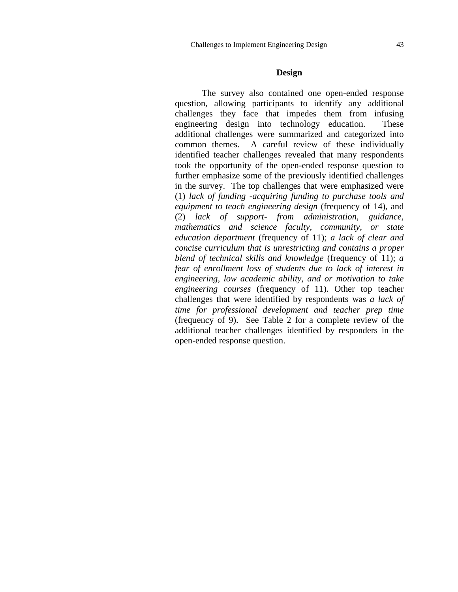### **Design**

The survey also contained one open-ended response question, allowing participants to identify any additional challenges they face that impedes them from infusing engineering design into technology education. These additional challenges were summarized and categorized into common themes. A careful review of these individually identified teacher challenges revealed that many respondents took the opportunity of the open-ended response question to further emphasize some of the previously identified challenges in the survey. The top challenges that were emphasized were (1) *lack of funding* -*acquiring funding to purchase tools and equipment to teach engineering design* (frequency of 14), and (2) *lack of support- from administration, guidance, mathematics and science faculty, community, or state education department* (frequency of 11); *a lack of clear and concise curriculum that is unrestricting and contains a proper blend of technical skills and knowledge* (frequency of 11); *a fear of enrollment loss of students due to lack of interest in engineering, low academic ability, and or motivation to take engineering courses* (frequency of 11). Other top teacher challenges that were identified by respondents was *a lack of time for professional development and teacher prep time*  (frequency of 9). See Table 2 for a complete review of the additional teacher challenges identified by responders in the open-ended response question.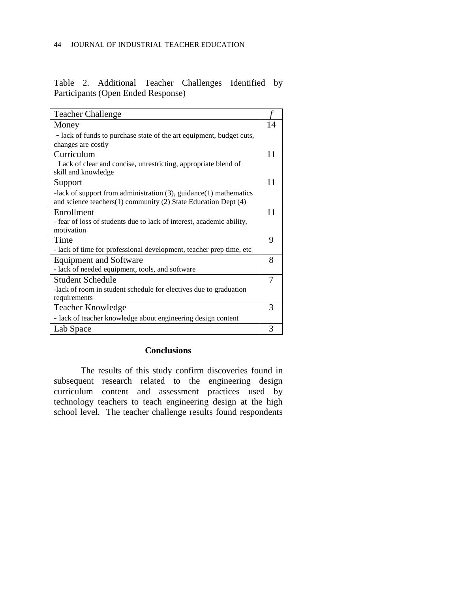|                                    |  |  |  | Table 2. Additional Teacher Challenges Identified by |  |  |  |
|------------------------------------|--|--|--|------------------------------------------------------|--|--|--|
| Participants (Open Ended Response) |  |  |  |                                                      |  |  |  |

| <b>Teacher Challenge</b>                                                              |    |
|---------------------------------------------------------------------------------------|----|
| Money                                                                                 | 14 |
| - lack of funds to purchase state of the art equipment, budget cuts,                  |    |
| changes are costly                                                                    |    |
| Curriculum                                                                            | 11 |
| Lack of clear and concise, unrestricting, appropriate blend of<br>skill and knowledge |    |
| Support                                                                               | 11 |
| -lack of support from administration $(3)$ , guidance $(1)$ mathematics               |    |
| and science teachers $(1)$ community $(2)$ State Education Dept $(4)$                 |    |
| Enrollment                                                                            | 11 |
| - fear of loss of students due to lack of interest, academic ability,                 |    |
| motivation                                                                            |    |
| Time                                                                                  | 9  |
| - lack of time for professional development, teacher prep time, etc                   |    |
| <b>Equipment and Software</b>                                                         | 8  |
| - lack of needed equipment, tools, and software                                       |    |
| <b>Student Schedule</b>                                                               |    |
| -lack of room in student schedule for electives due to graduation                     |    |
| requirements                                                                          |    |
| <b>Teacher Knowledge</b>                                                              | 3  |
| - lack of teacher knowledge about engineering design content                          |    |
| Lab Space                                                                             | 3  |

## **Conclusions**

The results of this study confirm discoveries found in subsequent research related to the engineering design curriculum content and assessment practices used by technology teachers to teach engineering design at the high school level. The teacher challenge results found respondents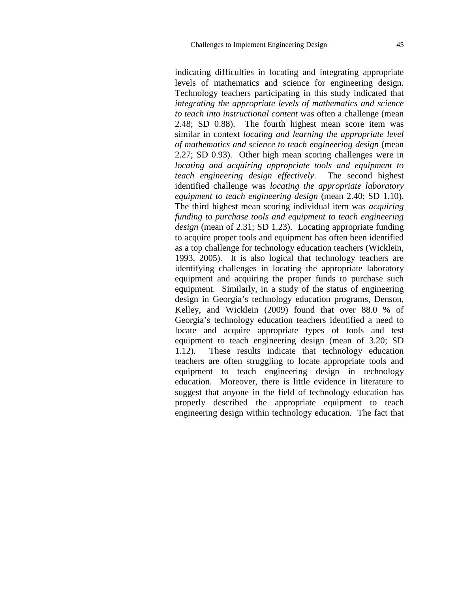indicating difficulties in locating and integrating appropriate levels of mathematics and science for engineering design. Technology teachers participating in this study indicated that *integrating the appropriate levels of mathematics and science to teach into instructional content* was often a challenge (mean 2.48; SD 0.88). The fourth highest mean score item was similar in context *locating and learning the appropriate level of mathematics and science to teach engineering design* (mean 2.27; SD 0.93). Other high mean scoring challenges were in *locating and acquiring appropriate tools and equipment to teach engineering design effectively*. The second highest identified challenge was *locating the appropriate laboratory equipment to teach engineering design* (mean 2.40; SD 1.10). The third highest mean scoring individual item was *acquiring funding to purchase tools and equipment to teach engineering design* (mean of 2.31; SD 1.23). Locating appropriate funding to acquire proper tools and equipment has often been identified as a top challenge for technology education teachers (Wicklein, 1993, 2005). It is also logical that technology teachers are identifying challenges in locating the appropriate laboratory equipment and acquiring the proper funds to purchase such equipment. Similarly, in a study of the status of engineering design in Georgia's technology education programs, Denson, Kelley, and Wicklein (2009) found that over 88.0 % of Georgia's technology education teachers identified a need to locate and acquire appropriate types of tools and test equipment to teach engineering design (mean of 3.20; SD 1.12). These results indicate that technology education teachers are often struggling to locate appropriate tools and equipment to teach engineering design in technology education. Moreover, there is little evidence in literature to suggest that anyone in the field of technology education has properly described the appropriate equipment to teach engineering design within technology education. The fact that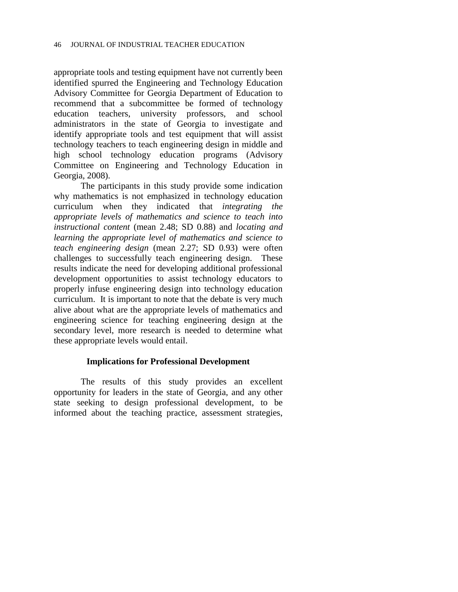appropriate tools and testing equipment have not currently been identified spurred the Engineering and Technology Education Advisory Committee for Georgia Department of Education to recommend that a subcommittee be formed of technology education teachers, university professors, and school administrators in the state of Georgia to investigate and identify appropriate tools and test equipment that will assist technology teachers to teach engineering design in middle and high school technology education programs (Advisory Committee on Engineering and Technology Education in Georgia, 2008).

The participants in this study provide some indication why mathematics is not emphasized in technology education curriculum when they indicated that *integrating the appropriate levels of mathematics and science to teach into instructional content* (mean 2.48; SD 0.88) and *locating and learning the appropriate level of mathematics and science to teach engineering design* (mean 2.27; SD 0.93) were often challenges to successfully teach engineering design. These results indicate the need for developing additional professional development opportunities to assist technology educators to properly infuse engineering design into technology education curriculum. It is important to note that the debate is very much alive about what are the appropriate levels of mathematics and engineering science for teaching engineering design at the secondary level, more research is needed to determine what these appropriate levels would entail.

### **Implications for Professional Development**

The results of this study provides an excellent opportunity for leaders in the state of Georgia, and any other state seeking to design professional development, to be informed about the teaching practice, assessment strategies,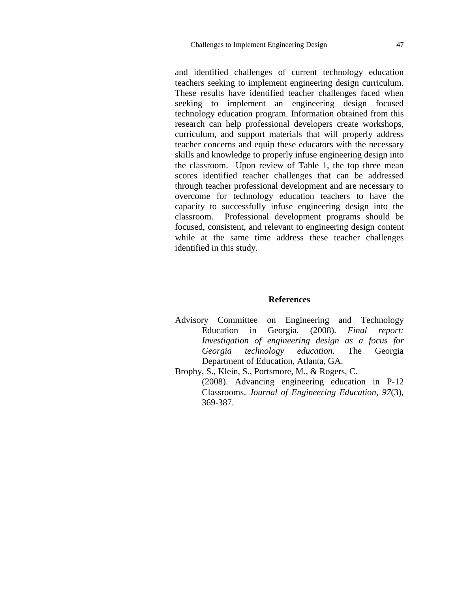and identified challenges of current technology education teachers seeking to implement engineering design curriculum. These results have identified teacher challenges faced when seeking to implement an engineering design focused technology education program. Information obtained from this research can help professional developers create workshops, curriculum, and support materials that will properly address teacher concerns and equip these educators with the necessary skills and knowledge to properly infuse engineering design into the classroom. Upon review of Table 1, the top three mean scores identified teacher challenges that can be addressed through teacher professional development and are necessary to overcome for technology education teachers to have the capacity to successfully infuse engineering design into the classroom. Professional development programs should be focused, consistent, and relevant to engineering design content while at the same time address these teacher challenges identified in this study.

### **References**

- Advisory Committee on Engineering and Technology Education in Georgia. (2008). *Final report: Investigation of engineering design as a focus for Georgia technology education.* The Georgia Department of Education, Atlanta, GA.
- Brophy, S., Klein, S., Portsmore, M., & Rogers, C.

(2008). Advancing engineering education in P-12 Classrooms. *Journal of Engineering Education, 97*(3), 369-387.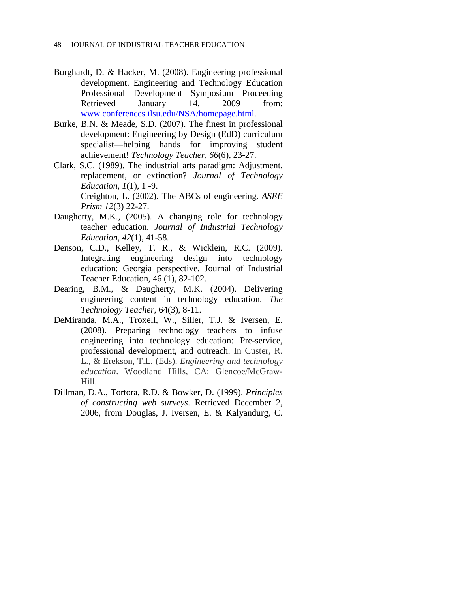- Burghardt, D. & Hacker, M. (2008). Engineering professional development. Engineering and Technology Education Professional Development Symposium Proceeding Retrieved January 14, 2009 from: [www.conferences.ilsu.edu/NSA/homepage.html.](http://www.conferences.ilsu.edu/NSA/homepage.html)
- Burke, B.N. & Meade, S.D. (2007). The finest in professional development: Engineering by Design (EdD) curriculum specialist—helping hands for improving student achievement! *Technology Teacher, 66*(6), 23-27.
- Clark, S.C. (1989). The industrial arts paradigm: Adjustment, replacement, or extinction? *Journal of Technology Education*, *1*(1), 1 -9. Creighton, L. (2002). The ABCs of engineering. *ASEE*

*Prism 12*(3) 22-27.

- Daugherty, M.K., (2005). A changing role for technology teacher education. *Journal of Industrial Technology Education*, *42*(1), 41-58.
- Denson, C.D., Kelley, T. R., & Wicklein, R.C. (2009). Integrating engineering design into technology education: Georgia perspective. Journal of Industrial Teacher Education, 46 (1), 82-102.
- Dearing, B.M., & Daugherty, M.K. (2004). Delivering engineering content in technology education. *The Technology Teacher*, 64(3), 8-11.
- DeMiranda, M.A., Troxell, W., Siller, T.J. & Iversen, E. (2008). Preparing technology teachers to infuse engineering into technology education: Pre-service, professional development, and outreach. In Custer, R. L., & Erekson, T.L. (Eds). *Engineering and technology education*. Woodland Hills, CA: Glencoe/McGraw-Hill.
- Dillman, D.A., Tortora, R.D. & Bowker, D. (1999). *Principles of constructing web surveys*. Retrieved December 2, 2006, from Douglas, J. Iversen, E. & Kalyandurg, C.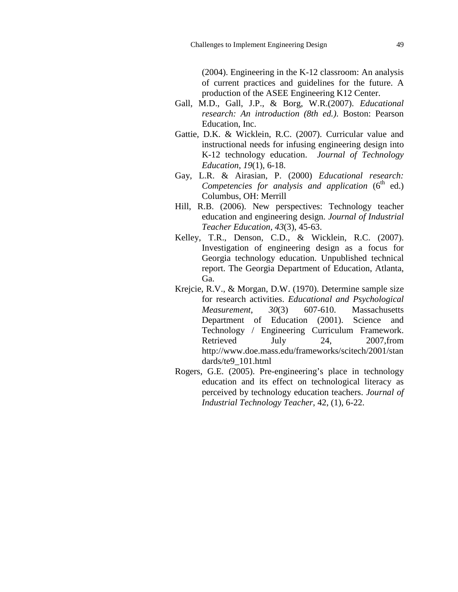(2004). Engineering in the K-12 classroom: An analysis of current practices and guidelines for the future. A production of the ASEE Engineering K12 Center.

- Gall, M.D., Gall, J.P., & Borg, W.R.(2007). *Educational research: An introduction (8th ed.)*. Boston: Pearson Education, Inc.
- Gattie, D.K. & Wicklein, R.C. (2007). Curricular value and instructional needs for infusing engineering design into K-12 technology education. *Journal of Technology Education*, *19*(1), 6-18.
- Gay, L.R. & Airasian, P. (2000) *Educational research: Competencies for analysis and application*  $(6<sup>th</sup> ed.)$ Columbus, OH: Merrill
- Hill, R.B. (2006). New perspectives: Technology teacher education and engineering design. *Journal of Industrial Teacher Education, 43*(3), 45-63.
- Kelley, T.R., Denson, C.D., & Wicklein, R.C. (2007). Investigation of engineering design as a focus for Georgia technology education. Unpublished technical report. The Georgia Department of Education, Atlanta, Ga.
- Krejcie, R.V., & Morgan, D.W. (1970). Determine sample size for research activities. *Educational and Psychological Measurement*, *30*(3) 607-610. Massachusetts Department of Education (2001). Science and Technology / Engineering Curriculum Framework. Retrieved July 24, 2007, from http://www.doe.mass.edu/frameworks/scitech/2001/stan dards/te9\_101.html
- Rogers, G.E. (2005). Pre-engineering's place in technology education and its effect on technological literacy as perceived by technology education teachers. *Journal of Industrial Technology Teacher*, 42, (1), 6-22.